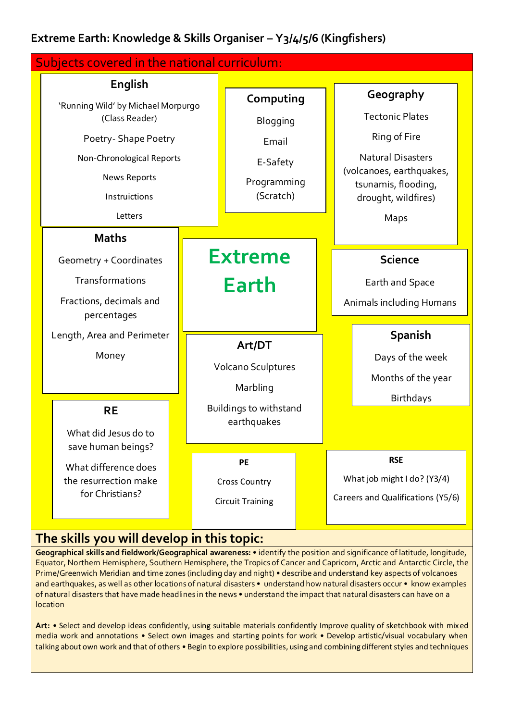## **Extreme Earth: Knowledge & Skills Organiser – Y3/4/5/6 (Kingfishers)**



## **The skills you will develop in this topic:**

**Geographical skills and fieldwork/Geographical awareness:** • identify the position and significance of latitude, longitude, Equator, Northern Hemisphere, Southern Hemisphere, the Tropics of Cancer and Capricorn, Arctic and Antarctic Circle, the Prime/Greenwich Meridian and time zones (including day and night) • describe and understand key aspects of volcanoes and earthquakes, as well as other locations of natural disasters • understand how natural disasters occur • know examples of natural disasters that have made headlines in the news • understand the impact that natural disasters can have on a location

**Art:** • Select and develop ideas confidently, using suitable materials confidently Improve quality of sketchbook with mixed media work and annotations • Select own images and starting points for work • Develop artistic/visual vocabulary when talking about own work and that of others • Begin to explore possibilities, using and combining different styles and techniques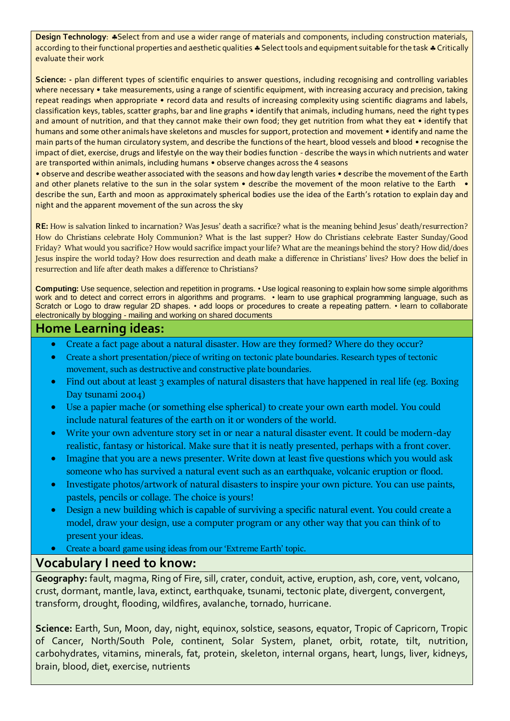**Design Technology: \*Select from and use a wider range of materials and components, including construction materials,** according to their functional properties and aesthetic qualities  $\clubsuit$  Select tools and equipment suitable for the task  $\clubsuit$  Critically evaluate their work

Science: - plan different types of scientific enquiries to answer questions, including recognising and controlling variables where necessary • take measurements, using a range of scientific equipment, with increasing accuracy and precision, taking repeat readings when appropriate • record data and results of increasing complexity using scientific diagrams and labels, classification keys, tables, scatter graphs, bar and line graphs • identify that animals, including humans, need the right types and amount of nutrition, and that they cannot make their own food; they get nutrition from what they eat • identify that humans and some other animals have skeletons and muscles for support, protection and movement • identify and name the main parts of the human circulatory system, and describe the functions of the heart, blood vessels and blood • recognise the impact of diet, exercise, drugs and lifestyle on the way their bodies function - describe the ways in which nutrients and water are transported within animals, including humans • observe changes across the 4 seasons

• observe and describe weather associated with the seasons and how day length varies • describe the movement of the Earth and other planets relative to the sun in the solar system • describe the movement of the moon relative to the Earth • describe the sun, Earth and moon as approximately spherical bodies use the idea of the Earth's rotation to explain day and night and the apparent movement of the sun across the sky

**RE:** How is salvation linked to incarnation? Was Jesus' death a sacrifice? what is the meaning behind Jesus' death/resurrection? How do Christians celebrate Holy Communion? What is the last supper? How do Christians celebrate Easter Sunday/Good Friday? What would you sacrifice? How would sacrifice impact your life? What are the meanings behind the story? How did/does Jesus inspire the world today? How does resurrection and death make a difference in Christians' lives? How does the belief in resurrection and life after death makes a difference to Christians?

**Computing:** Use sequence, selection and repetition in programs. • Use logical reasoning to explain how some simple algorithms work and to detect and correct errors in algorithms and programs. • learn to use graphical programming language, such as Scratch or Logo to draw regular 2D shapes. • add loops or procedures to create a repeating pattern. • learn to collaborate electronically by blogging - mailing and working on shared documents

## **Home Learning ideas:**

- Create a fact page about a natural disaster. How are they formed? Where do they occur?
- Create a short presentation/piece of writing on tectonic plate boundaries. Research types of tectonic movement, such as destructive and constructive plate boundaries.
- Find out about at least 3 examples of natural disasters that have happened in real life (eg. Boxing Day tsunami 2004)
- Use a papier mache (or something else spherical) to create your own earth model. You could include natural features of the earth on it or wonders of the world.
- Write your own adventure story set in or near a natural disaster event. It could be modern-day realistic, fantasy or historical. Make sure that it is neatly presented, perhaps with a front cover.
- Imagine that you are a news presenter. Write down at least five questions which you would ask someone who has survived a natural event such as an earthquake, volcanic eruption or flood.
- Investigate photos/artwork of natural disasters to inspire your own picture. You can use paints, pastels, pencils or collage. The choice is yours!
- Design a new building which is capable of surviving a specific natural event. You could create a model, draw your design, use a computer program or any other way that you can think of to present your ideas.
- Create a board game using ideas from our 'Extreme Earth' topic.

## **Vocabulary I need to know:**

**Geography:** fault, magma, Ring of Fire, sill, crater, conduit, active, eruption, ash, core, vent, volcano, crust, dormant, mantle, lava, extinct, earthquake, tsunami, tectonic plate, divergent, convergent, transform, drought, flooding, wildfires, avalanche, tornado, hurricane.

**Science:** Earth, Sun, Moon, day, night, equinox, solstice, seasons, equator, Tropic of Capricorn, Tropic of Cancer, North/South Pole, continent, Solar System, planet, orbit, rotate, tilt, nutrition, carbohydrates, vitamins, minerals, fat, protein, skeleton, internal organs, heart, lungs, liver, kidneys, brain, blood, diet, exercise, nutrients